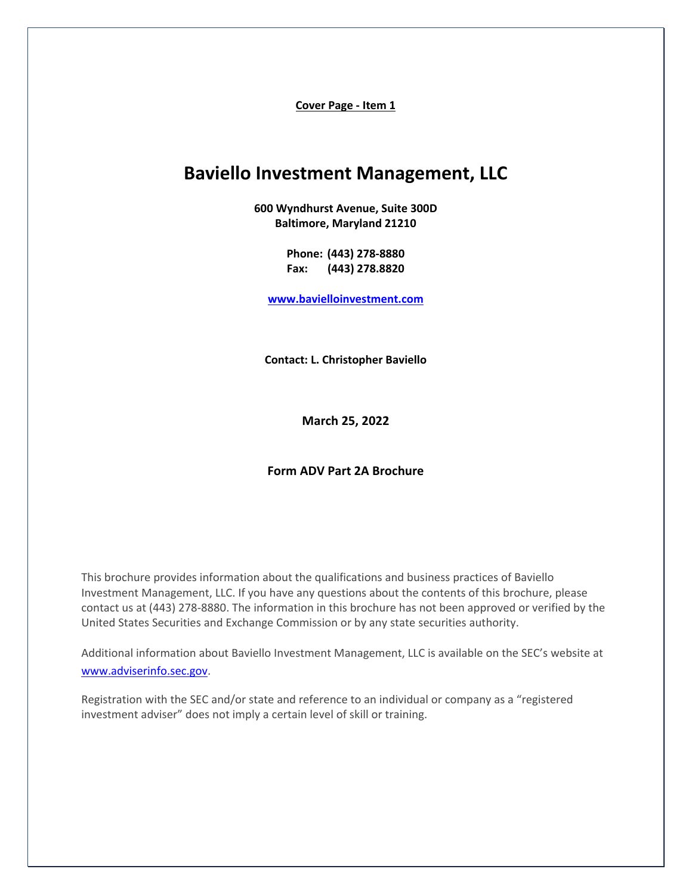**Cover Page - Item 1** 

# <span id="page-0-0"></span>**Baviello Investment Management, LLC**

**600 Wyndhurst Avenue, Suite 300D Baltimore, Maryland 21210**

> **Phone: (443) 278-8880 Fax: (443) 278.8820**

**[www.bavielloinvestment.com](http://www.bavielloinvestment.com/)**

**Contact: L. Christopher Baviello** 

**March 25, 2022**

#### **Form ADV Part 2A Brochure**

This brochure provides information about the qualifications and business practices of Baviello Investment Management, LLC. If you have any questions about the contents of this brochure, please contact us at (443) 278-8880. The information in this brochure has not been approved or verified by the United States Securities and Exchange Commission or by any state securities authority.

Additional information about Baviello Investment Management, LLC is available on the SEC's website at [www.adviserinfo.sec.gov.](http://www.adviserinfo.sec.gov/)

Registration with the SEC and/or state and reference to an individual or company as a "registered investment adviser" does not imply a certain level of skill or training.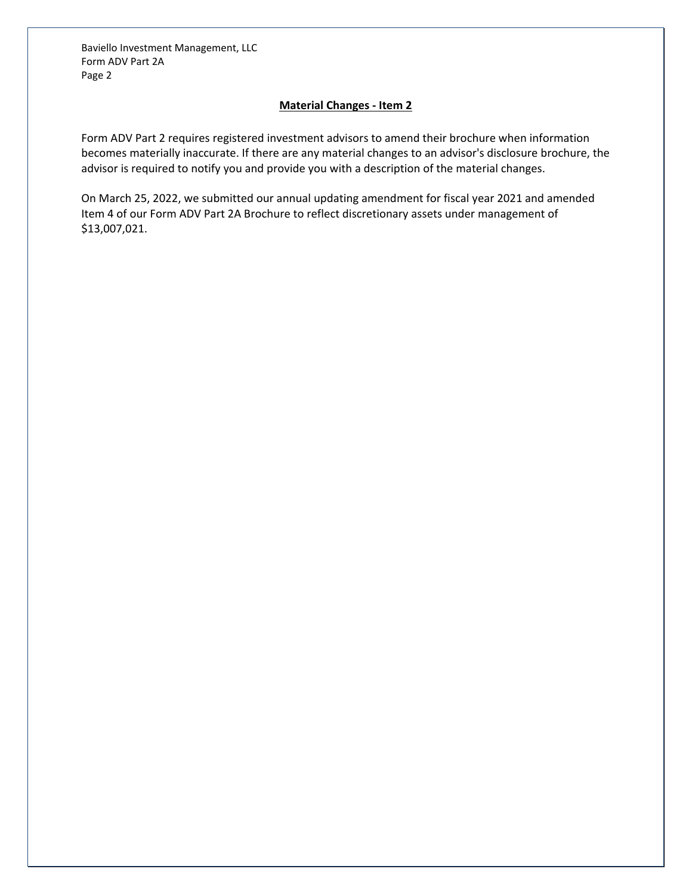## **Material Changes - Item 2**

<span id="page-1-0"></span>Form ADV Part 2 requires registered investment advisors to amend their brochure when information becomes materially inaccurate. If there are any material changes to an advisor's disclosure brochure, the advisor is required to notify you and provide you with a description of the material changes.

On March 25, 2022, we submitted our annual updating amendment for fiscal year 2021 and amended Item 4 of our Form ADV Part 2A Brochure to reflect discretionary assets under management of \$13,007,021.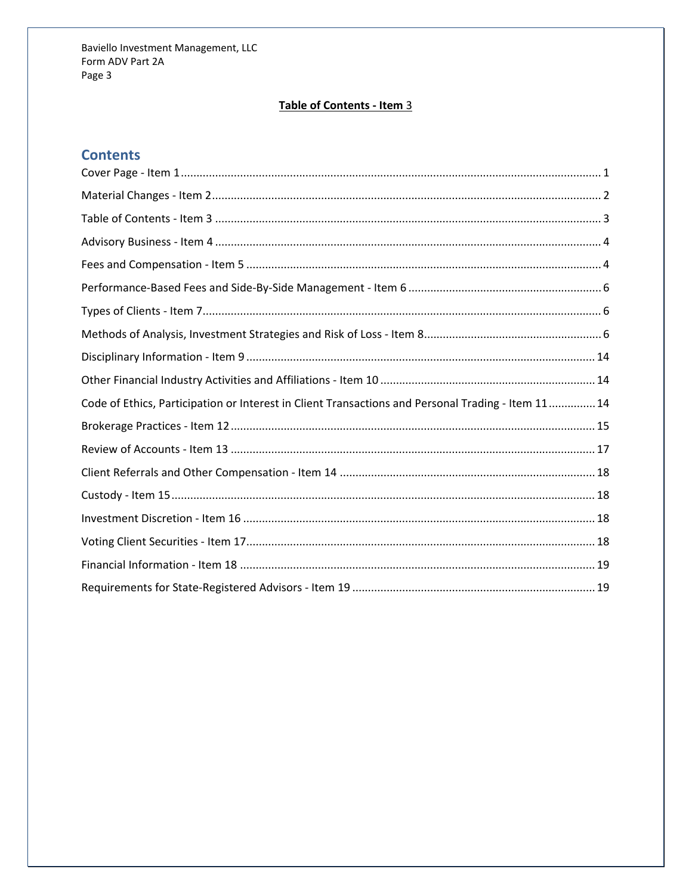## Table of Contents - Item 3

## <span id="page-2-0"></span>**Contents**

| Code of Ethics, Participation or Interest in Client Transactions and Personal Trading - Item 11 14 |
|----------------------------------------------------------------------------------------------------|
|                                                                                                    |
|                                                                                                    |
|                                                                                                    |
|                                                                                                    |
|                                                                                                    |
|                                                                                                    |
|                                                                                                    |
|                                                                                                    |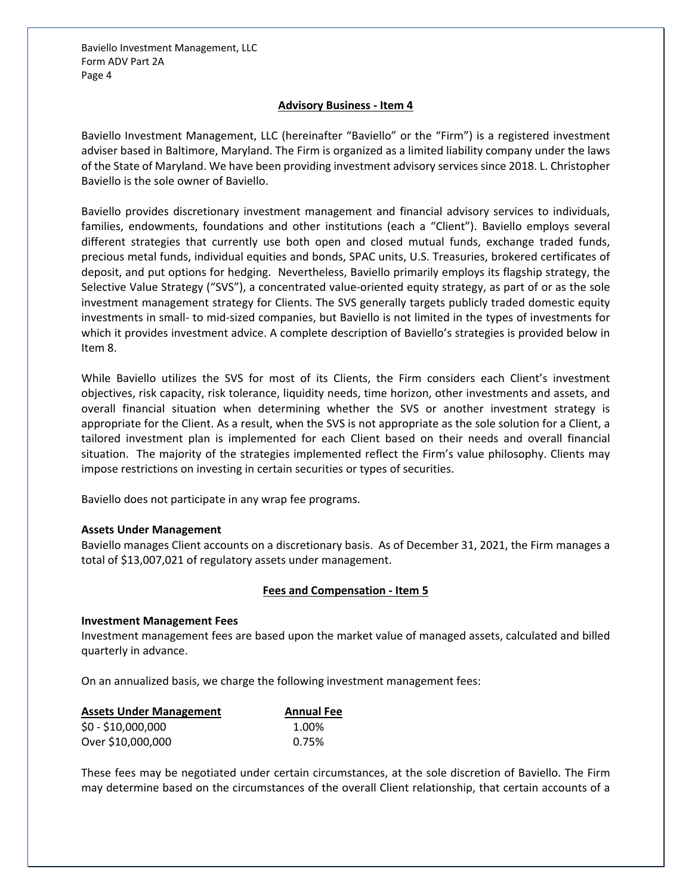## **Advisory Business - Item 4**

<span id="page-3-0"></span>Baviello Investment Management, LLC (hereinafter "Baviello" or the "Firm") is a registered investment adviser based in Baltimore, Maryland. The Firm is organized as a limited liability company under the laws of the State of Maryland. We have been providing investment advisory services since 2018. L. Christopher Baviello is the sole owner of Baviello.

Baviello provides discretionary investment management and financial advisory services to individuals, families, endowments, foundations and other institutions (each a "Client"). Baviello employs several different strategies that currently use both open and closed mutual funds, exchange traded funds, precious metal funds, individual equities and bonds, SPAC units, U.S. Treasuries, brokered certificates of deposit, and put options for hedging. Nevertheless, Baviello primarily employs its flagship strategy, the Selective Value Strategy ("SVS"), a concentrated value-oriented equity strategy, as part of or as the sole investment management strategy for Clients. The SVS generally targets publicly traded domestic equity investments in small- to mid-sized companies, but Baviello is not limited in the types of investments for which it provides investment advice. A complete description of Baviello's strategies is provided below in Item 8.

While Baviello utilizes the SVS for most of its Clients, the Firm considers each Client's investment objectives, risk capacity, risk tolerance, liquidity needs, time horizon, other investments and assets, and overall financial situation when determining whether the SVS or another investment strategy is appropriate for the Client. As a result, when the SVS is not appropriate as the sole solution for a Client, a tailored investment plan is implemented for each Client based on their needs and overall financial situation. The majority of the strategies implemented reflect the Firm's value philosophy. Clients may impose restrictions on investing in certain securities or types of securities.

Baviello does not participate in any wrap fee programs.

#### **Assets Under Management**

Baviello manages Client accounts on a discretionary basis. As of December 31, 2021, the Firm manages a total of \$13,007,021 of regulatory assets under management.

## **Fees and Compensation - Item 5**

#### <span id="page-3-1"></span>**Investment Management Fees**

Investment management fees are based upon the market value of managed assets, calculated and billed quarterly in advance.

On an annualized basis, we charge the following investment management fees:

| <b>Assets Under Management</b> | <b>Annual Fee</b> |
|--------------------------------|-------------------|
| $$0 - $10,000,000$             | 1.00%             |
| Over \$10,000,000              | 0.75%             |

These fees may be negotiated under certain circumstances, at the sole discretion of Baviello. The Firm may determine based on the circumstances of the overall Client relationship, that certain accounts of a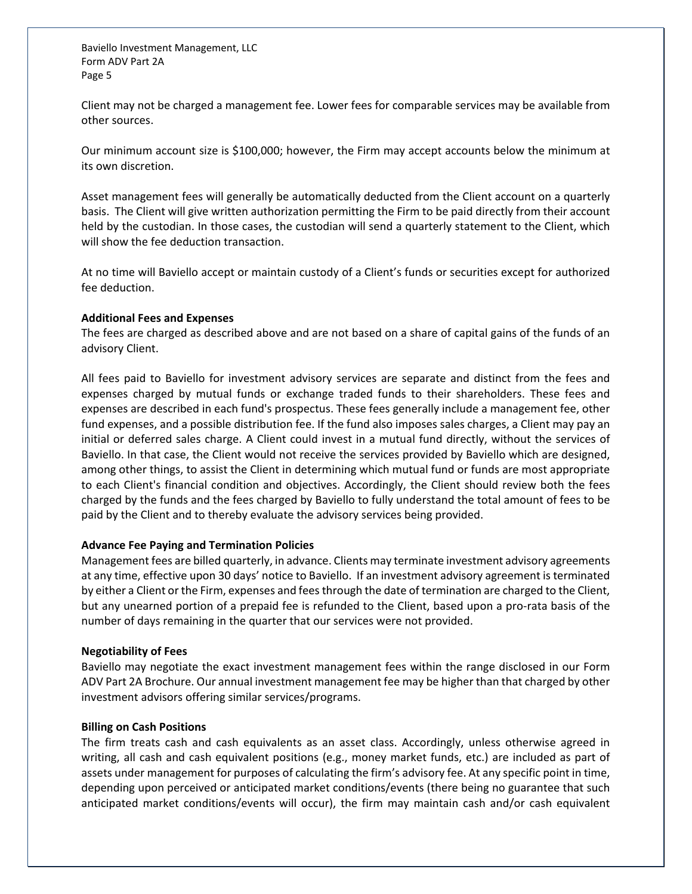Client may not be charged a management fee. Lower fees for comparable services may be available from other sources.

Our minimum account size is \$100,000; however, the Firm may accept accounts below the minimum at its own discretion.

Asset management fees will generally be automatically deducted from the Client account on a quarterly basis. The Client will give written authorization permitting the Firm to be paid directly from their account held by the custodian. In those cases, the custodian will send a quarterly statement to the Client, which will show the fee deduction transaction.

At no time will Baviello accept or maintain custody of a Client's funds or securities except for authorized fee deduction.

#### **Additional Fees and Expenses**

The fees are charged as described above and are not based on a share of capital gains of the funds of an advisory Client.

All fees paid to Baviello for investment advisory services are separate and distinct from the fees and expenses charged by mutual funds or exchange traded funds to their shareholders. These fees and expenses are described in each fund's prospectus. These fees generally include a management fee, other fund expenses, and a possible distribution fee. If the fund also imposes sales charges, a Client may pay an initial or deferred sales charge. A Client could invest in a mutual fund directly, without the services of Baviello. In that case, the Client would not receive the services provided by Baviello which are designed, among other things, to assist the Client in determining which mutual fund or funds are most appropriate to each Client's financial condition and objectives. Accordingly, the Client should review both the fees charged by the funds and the fees charged by Baviello to fully understand the total amount of fees to be paid by the Client and to thereby evaluate the advisory services being provided.

#### **Advance Fee Paying and Termination Policies**

Management fees are billed quarterly, in advance. Clients may terminate investment advisory agreements at any time, effective upon 30 days' notice to Baviello. If an investment advisory agreement is terminated by either a Client or the Firm, expenses and fees through the date of termination are charged to the Client, but any unearned portion of a prepaid fee is refunded to the Client, based upon a pro-rata basis of the number of days remaining in the quarter that our services were not provided.

## **Negotiability of Fees**

Baviello may negotiate the exact investment management fees within the range disclosed in our Form ADV Part 2A Brochure. Our annual investment management fee may be higher than that charged by other investment advisors offering similar services/programs.

## **Billing on Cash Positions**

The firm treats cash and cash equivalents as an asset class. Accordingly, unless otherwise agreed in writing, all cash and cash equivalent positions (e.g., money market funds, etc.) are included as part of assets under management for purposes of calculating the firm's advisory fee. At any specific point in time, depending upon perceived or anticipated market conditions/events (there being no guarantee that such anticipated market conditions/events will occur), the firm may maintain cash and/or cash equivalent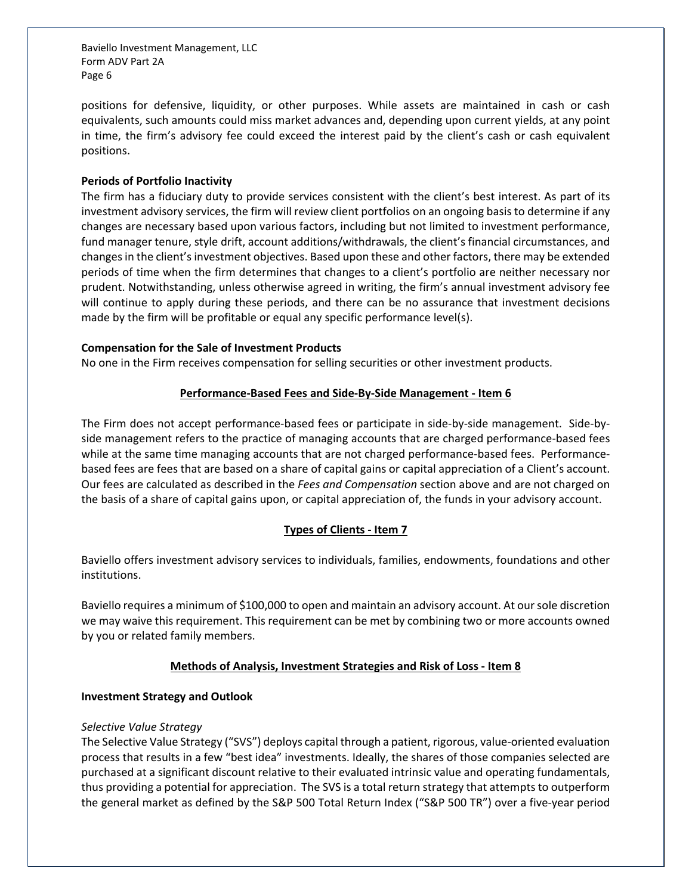positions for defensive, liquidity, or other purposes. While assets are maintained in cash or cash equivalents, such amounts could miss market advances and, depending upon current yields, at any point in time, the firm's advisory fee could exceed the interest paid by the client's cash or cash equivalent positions.

## **Periods of Portfolio Inactivity**

The firm has a fiduciary duty to provide services consistent with the client's best interest. As part of its investment advisory services, the firm will review client portfolios on an ongoing basis to determine if any changes are necessary based upon various factors, including but not limited to investment performance, fund manager tenure, style drift, account additions/withdrawals, the client's financial circumstances, and changes in the client's investment objectives. Based upon these and other factors, there may be extended periods of time when the firm determines that changes to a client's portfolio are neither necessary nor prudent. Notwithstanding, unless otherwise agreed in writing, the firm's annual investment advisory fee will continue to apply during these periods, and there can be no assurance that investment decisions made by the firm will be profitable or equal any specific performance level(s).

#### **Compensation for the Sale of Investment Products**

<span id="page-5-0"></span>No one in the Firm receives compensation for selling securities or other investment products.

#### **Performance-Based Fees and Side-By-Side Management - Item 6**

The Firm does not accept performance-based fees or participate in side-by-side management. Side-byside management refers to the practice of managing accounts that are charged performance-based fees while at the same time managing accounts that are not charged performance-based fees. Performancebased fees are fees that are based on a share of capital gains or capital appreciation of a Client's account. Our fees are calculated as described in the *Fees and Compensation* section above and are not charged on the basis of a share of capital gains upon, or capital appreciation of, the funds in your advisory account.

## **Types of Clients - Item 7**

<span id="page-5-1"></span>Baviello offers investment advisory services to individuals, families, endowments, foundations and other institutions.

Baviello requires a minimum of \$100,000 to open and maintain an advisory account. At our sole discretion we may waive this requirement. This requirement can be met by combining two or more accounts owned by you or related family members.

## **Methods of Analysis, Investment Strategies and Risk of Loss - Item 8**

## <span id="page-5-2"></span>**Investment Strategy and Outlook**

#### *Selective Value Strategy*

The Selective Value Strategy ("SVS") deploys capital through a patient, rigorous, value-oriented evaluation process that results in a few "best idea" investments. Ideally, the shares of those companies selected are purchased at a significant discount relative to their evaluated intrinsic value and operating fundamentals, thus providing a potential for appreciation. The SVS is a total return strategy that attempts to outperform the general market as defined by the S&P 500 Total Return Index ("S&P 500 TR") over a five-year period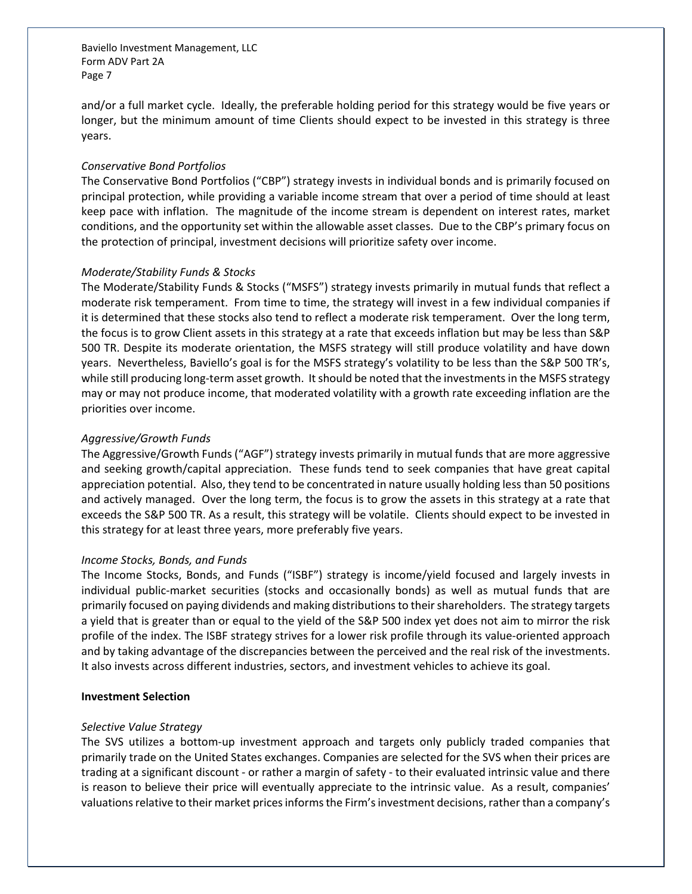and/or a full market cycle. Ideally, the preferable holding period for this strategy would be five years or longer, but the minimum amount of time Clients should expect to be invested in this strategy is three years.

#### *Conservative Bond Portfolios*

The Conservative Bond Portfolios ("CBP") strategy invests in individual bonds and is primarily focused on principal protection, while providing a variable income stream that over a period of time should at least keep pace with inflation. The magnitude of the income stream is dependent on interest rates, market conditions, and the opportunity set within the allowable asset classes. Due to the CBP's primary focus on the protection of principal, investment decisions will prioritize safety over income.

#### *Moderate/Stability Funds & Stocks*

The Moderate/Stability Funds & Stocks ("MSFS") strategy invests primarily in mutual funds that reflect a moderate risk temperament. From time to time, the strategy will invest in a few individual companies if it is determined that these stocks also tend to reflect a moderate risk temperament. Over the long term, the focus is to grow Client assets in this strategy at a rate that exceeds inflation but may be less than S&P 500 TR. Despite its moderate orientation, the MSFS strategy will still produce volatility and have down years. Nevertheless, Baviello's goal is for the MSFS strategy's volatility to be less than the S&P 500 TR's, while still producing long-term asset growth. It should be noted that the investments in the MSFS strategy may or may not produce income, that moderated volatility with a growth rate exceeding inflation are the priorities over income.

#### *Aggressive/Growth Funds*

The Aggressive/Growth Funds ("AGF") strategy invests primarily in mutual funds that are more aggressive and seeking growth/capital appreciation. These funds tend to seek companies that have great capital appreciation potential. Also, they tend to be concentrated in nature usually holding less than 50 positions and actively managed. Over the long term, the focus is to grow the assets in this strategy at a rate that exceeds the S&P 500 TR. As a result, this strategy will be volatile. Clients should expect to be invested in this strategy for at least three years, more preferably five years.

#### *Income Stocks, Bonds, and Funds*

The Income Stocks, Bonds, and Funds ("ISBF") strategy is income/yield focused and largely invests in individual public-market securities (stocks and occasionally bonds) as well as mutual funds that are primarily focused on paying dividends and making distributions to their shareholders. The strategy targets a yield that is greater than or equal to the yield of the S&P 500 index yet does not aim to mirror the risk profile of the index. The ISBF strategy strives for a lower risk profile through its value-oriented approach and by taking advantage of the discrepancies between the perceived and the real risk of the investments. It also invests across different industries, sectors, and investment vehicles to achieve its goal.

#### **Investment Selection**

#### *Selective Value Strategy*

The SVS utilizes a bottom-up investment approach and targets only publicly traded companies that primarily trade on the United States exchanges. Companies are selected for the SVS when their prices are trading at a significant discount - or rather a margin of safety - to their evaluated intrinsic value and there is reason to believe their price will eventually appreciate to the intrinsic value. As a result, companies' valuations relative to their market prices informs the Firm's investment decisions, rather than a company's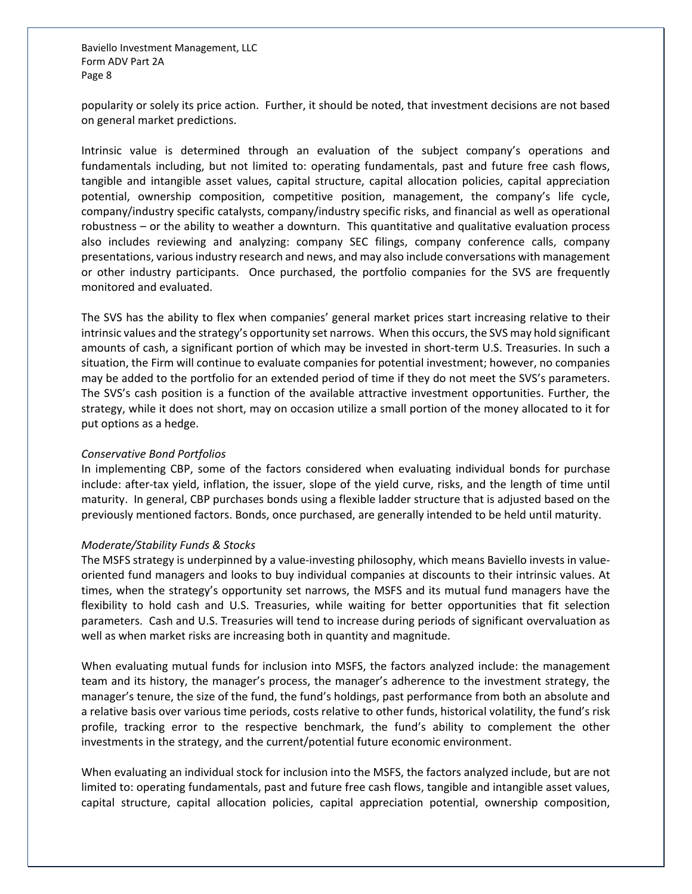popularity or solely its price action. Further, it should be noted, that investment decisions are not based on general market predictions.

Intrinsic value is determined through an evaluation of the subject company's operations and fundamentals including, but not limited to: operating fundamentals, past and future free cash flows, tangible and intangible asset values, capital structure, capital allocation policies, capital appreciation potential, ownership composition, competitive position, management, the company's life cycle, company/industry specific catalysts, company/industry specific risks, and financial as well as operational robustness – or the ability to weather a downturn. This quantitative and qualitative evaluation process also includes reviewing and analyzing: company SEC filings, company conference calls, company presentations, various industry research and news, and may also include conversations with management or other industry participants. Once purchased, the portfolio companies for the SVS are frequently monitored and evaluated.

The SVS has the ability to flex when companies' general market prices start increasing relative to their intrinsic values and the strategy's opportunity set narrows. When this occurs, the SVS may hold significant amounts of cash, a significant portion of which may be invested in short-term U.S. Treasuries. In such a situation, the Firm will continue to evaluate companies for potential investment; however, no companies may be added to the portfolio for an extended period of time if they do not meet the SVS's parameters. The SVS's cash position is a function of the available attractive investment opportunities. Further, the strategy, while it does not short, may on occasion utilize a small portion of the money allocated to it for put options as a hedge.

#### *Conservative Bond Portfolios*

In implementing CBP, some of the factors considered when evaluating individual bonds for purchase include: after-tax yield, inflation, the issuer, slope of the yield curve, risks, and the length of time until maturity. In general, CBP purchases bonds using a flexible ladder structure that is adjusted based on the previously mentioned factors. Bonds, once purchased, are generally intended to be held until maturity.

#### *Moderate/Stability Funds & Stocks*

The MSFS strategy is underpinned by a value-investing philosophy, which means Baviello invests in valueoriented fund managers and looks to buy individual companies at discounts to their intrinsic values. At times, when the strategy's opportunity set narrows, the MSFS and its mutual fund managers have the flexibility to hold cash and U.S. Treasuries, while waiting for better opportunities that fit selection parameters. Cash and U.S. Treasuries will tend to increase during periods of significant overvaluation as well as when market risks are increasing both in quantity and magnitude.

When evaluating mutual funds for inclusion into MSFS, the factors analyzed include: the management team and its history, the manager's process, the manager's adherence to the investment strategy, the manager's tenure, the size of the fund, the fund's holdings, past performance from both an absolute and a relative basis over various time periods, costs relative to other funds, historical volatility, the fund's risk profile, tracking error to the respective benchmark, the fund's ability to complement the other investments in the strategy, and the current/potential future economic environment.

When evaluating an individual stock for inclusion into the MSFS, the factors analyzed include, but are not limited to: operating fundamentals, past and future free cash flows, tangible and intangible asset values, capital structure, capital allocation policies, capital appreciation potential, ownership composition,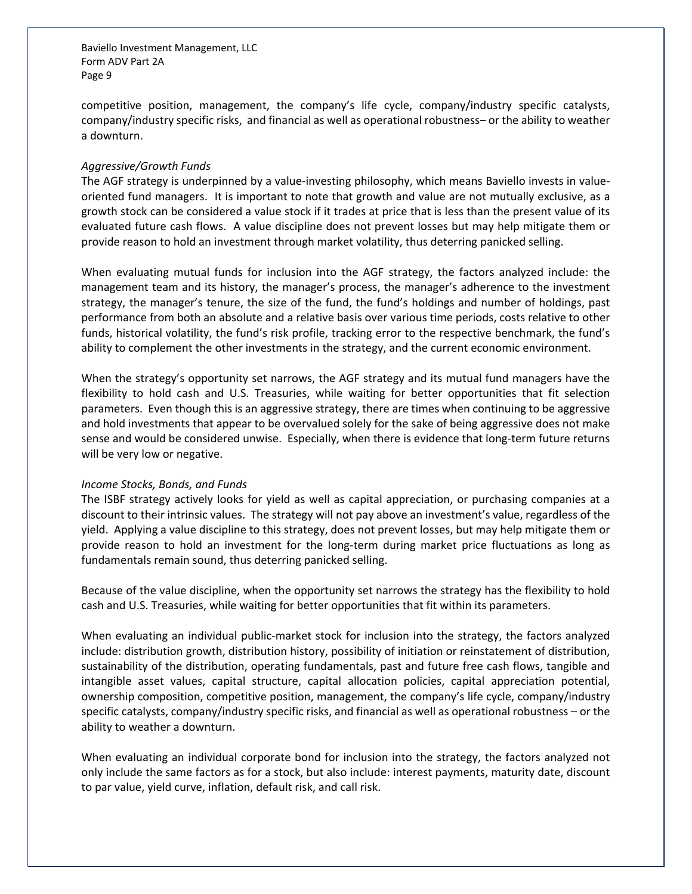competitive position, management, the company's life cycle, company/industry specific catalysts, company/industry specific risks, and financial as well as operational robustness– or the ability to weather a downturn.

#### *Aggressive/Growth Funds*

The AGF strategy is underpinned by a value-investing philosophy, which means Baviello invests in valueoriented fund managers. It is important to note that growth and value are not mutually exclusive, as a growth stock can be considered a value stock if it trades at price that is less than the present value of its evaluated future cash flows. A value discipline does not prevent losses but may help mitigate them or provide reason to hold an investment through market volatility, thus deterring panicked selling.

When evaluating mutual funds for inclusion into the AGF strategy, the factors analyzed include: the management team and its history, the manager's process, the manager's adherence to the investment strategy, the manager's tenure, the size of the fund, the fund's holdings and number of holdings, past performance from both an absolute and a relative basis over various time periods, costs relative to other funds, historical volatility, the fund's risk profile, tracking error to the respective benchmark, the fund's ability to complement the other investments in the strategy, and the current economic environment.

When the strategy's opportunity set narrows, the AGF strategy and its mutual fund managers have the flexibility to hold cash and U.S. Treasuries, while waiting for better opportunities that fit selection parameters. Even though this is an aggressive strategy, there are times when continuing to be aggressive and hold investments that appear to be overvalued solely for the sake of being aggressive does not make sense and would be considered unwise. Especially, when there is evidence that long-term future returns will be very low or negative.

#### *Income Stocks, Bonds, and Funds*

The ISBF strategy actively looks for yield as well as capital appreciation, or purchasing companies at a discount to their intrinsic values. The strategy will not pay above an investment's value, regardless of the yield. Applying a value discipline to this strategy, does not prevent losses, but may help mitigate them or provide reason to hold an investment for the long-term during market price fluctuations as long as fundamentals remain sound, thus deterring panicked selling.

Because of the value discipline, when the opportunity set narrows the strategy has the flexibility to hold cash and U.S. Treasuries, while waiting for better opportunities that fit within its parameters.

When evaluating an individual public-market stock for inclusion into the strategy, the factors analyzed include: distribution growth, distribution history, possibility of initiation or reinstatement of distribution, sustainability of the distribution, operating fundamentals, past and future free cash flows, tangible and intangible asset values, capital structure, capital allocation policies, capital appreciation potential, ownership composition, competitive position, management, the company's life cycle, company/industry specific catalysts, company/industry specific risks, and financial as well as operational robustness – or the ability to weather a downturn.

When evaluating an individual corporate bond for inclusion into the strategy, the factors analyzed not only include the same factors as for a stock, but also include: interest payments, maturity date, discount to par value, yield curve, inflation, default risk, and call risk.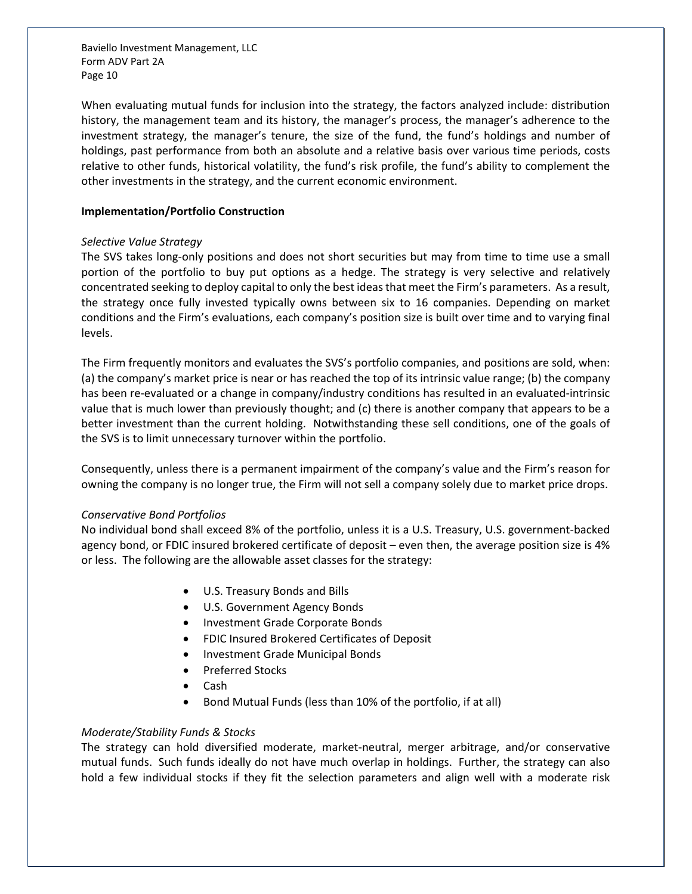When evaluating mutual funds for inclusion into the strategy, the factors analyzed include: distribution history, the management team and its history, the manager's process, the manager's adherence to the investment strategy, the manager's tenure, the size of the fund, the fund's holdings and number of holdings, past performance from both an absolute and a relative basis over various time periods, costs relative to other funds, historical volatility, the fund's risk profile, the fund's ability to complement the other investments in the strategy, and the current economic environment.

#### **Implementation/Portfolio Construction**

#### *Selective Value Strategy*

The SVS takes long-only positions and does not short securities but may from time to time use a small portion of the portfolio to buy put options as a hedge. The strategy is very selective and relatively concentrated seeking to deploy capital to only the best ideas that meet the Firm's parameters. As a result, the strategy once fully invested typically owns between six to 16 companies. Depending on market conditions and the Firm's evaluations, each company's position size is built over time and to varying final levels.

The Firm frequently monitors and evaluates the SVS's portfolio companies, and positions are sold, when: (a) the company's market price is near or has reached the top of its intrinsic value range; (b) the company has been re-evaluated or a change in company/industry conditions has resulted in an evaluated-intrinsic value that is much lower than previously thought; and (c) there is another company that appears to be a better investment than the current holding. Notwithstanding these sell conditions, one of the goals of the SVS is to limit unnecessary turnover within the portfolio.

Consequently, unless there is a permanent impairment of the company's value and the Firm's reason for owning the company is no longer true, the Firm will not sell a company solely due to market price drops.

#### *Conservative Bond Portfolios*

No individual bond shall exceed 8% of the portfolio, unless it is a U.S. Treasury, U.S. government-backed agency bond, or FDIC insured brokered certificate of deposit – even then, the average position size is 4% or less. The following are the allowable asset classes for the strategy:

- U.S. Treasury Bonds and Bills
- U.S. Government Agency Bonds
- Investment Grade Corporate Bonds
- FDIC Insured Brokered Certificates of Deposit
- Investment Grade Municipal Bonds
- Preferred Stocks
- Cash
- Bond Mutual Funds (less than 10% of the portfolio, if at all)

## *Moderate/Stability Funds & Stocks*

The strategy can hold diversified moderate, market-neutral, merger arbitrage, and/or conservative mutual funds. Such funds ideally do not have much overlap in holdings. Further, the strategy can also hold a few individual stocks if they fit the selection parameters and align well with a moderate risk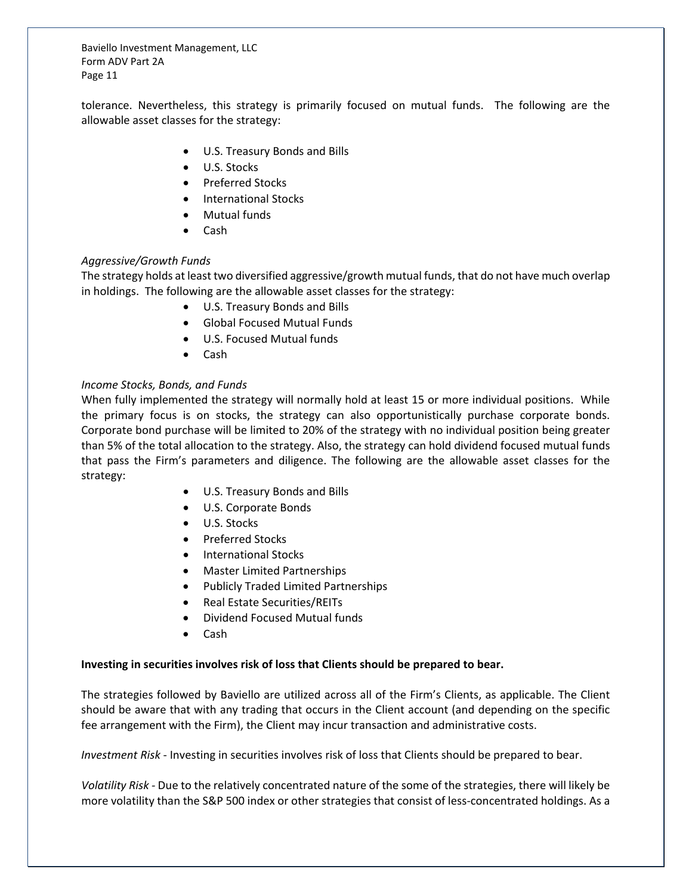tolerance. Nevertheless, this strategy is primarily focused on mutual funds. The following are the allowable asset classes for the strategy:

- U.S. Treasury Bonds and Bills
- U.S. Stocks
- Preferred Stocks
- International Stocks
- Mutual funds
- Cash

## *Aggressive/Growth Funds*

The strategy holds at least two diversified aggressive/growth mutual funds, that do not have much overlap in holdings. The following are the allowable asset classes for the strategy:

- U.S. Treasury Bonds and Bills
- Global Focused Mutual Funds
- U.S. Focused Mutual funds
- Cash

## *Income Stocks, Bonds, and Funds*

When fully implemented the strategy will normally hold at least 15 or more individual positions. While the primary focus is on stocks, the strategy can also opportunistically purchase corporate bonds. Corporate bond purchase will be limited to 20% of the strategy with no individual position being greater than 5% of the total allocation to the strategy. Also, the strategy can hold dividend focused mutual funds that pass the Firm's parameters and diligence. The following are the allowable asset classes for the strategy:

- U.S. Treasury Bonds and Bills
- U.S. Corporate Bonds
- U.S. Stocks
- Preferred Stocks
- International Stocks
- Master Limited Partnerships
- Publicly Traded Limited Partnerships
- Real Estate Securities/REITs
- Dividend Focused Mutual funds
- Cash

## **Investing in securities involves risk of loss that Clients should be prepared to bear.**

The strategies followed by Baviello are utilized across all of the Firm's Clients, as applicable. The Client should be aware that with any trading that occurs in the Client account (and depending on the specific fee arrangement with the Firm), the Client may incur transaction and administrative costs.

*Investment Risk* - Investing in securities involves risk of loss that Clients should be prepared to bear.

*Volatility Risk -* Due to the relatively concentrated nature of the some of the strategies, there will likely be more volatility than the S&P 500 index or other strategies that consist of less-concentrated holdings. As a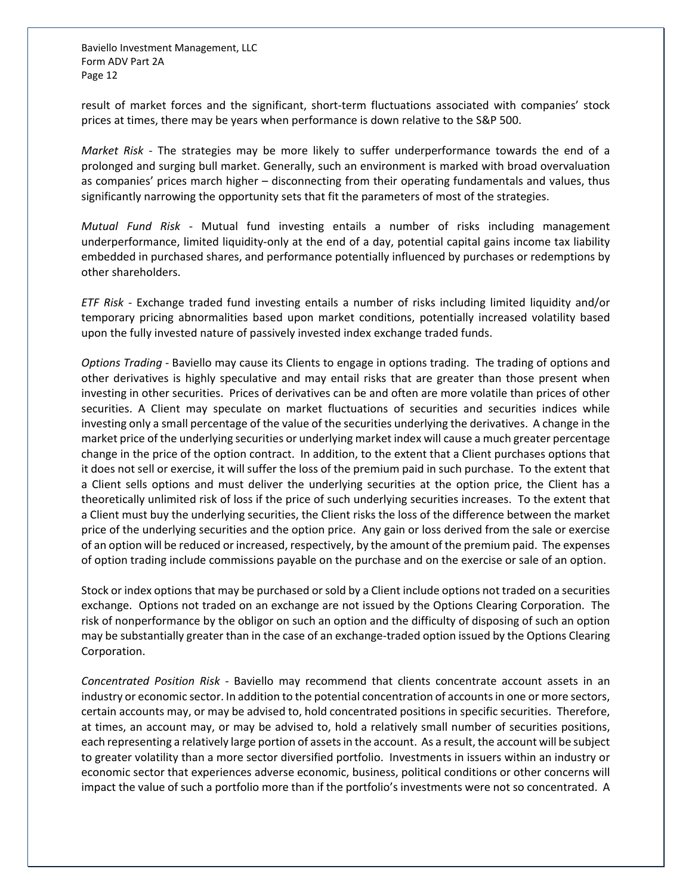result of market forces and the significant, short-term fluctuations associated with companies' stock prices at times, there may be years when performance is down relative to the S&P 500.

*Market Risk -* The strategies may be more likely to suffer underperformance towards the end of a prolonged and surging bull market. Generally, such an environment is marked with broad overvaluation as companies' prices march higher – disconnecting from their operating fundamentals and values, thus significantly narrowing the opportunity sets that fit the parameters of most of the strategies.

*Mutual Fund Risk* - Mutual fund investing entails a number of risks including management underperformance, limited liquidity-only at the end of a day, potential capital gains income tax liability embedded in purchased shares, and performance potentially influenced by purchases or redemptions by other shareholders.

*ETF Risk* - Exchange traded fund investing entails a number of risks including limited liquidity and/or temporary pricing abnormalities based upon market conditions, potentially increased volatility based upon the fully invested nature of passively invested index exchange traded funds.

*Options Trading* - Baviello may cause its Clients to engage in options trading. The trading of options and other derivatives is highly speculative and may entail risks that are greater than those present when investing in other securities. Prices of derivatives can be and often are more volatile than prices of other securities. A Client may speculate on market fluctuations of securities and securities indices while investing only a small percentage of the value of the securities underlying the derivatives. A change in the market price of the underlying securities or underlying market index will cause a much greater percentage change in the price of the option contract. In addition, to the extent that a Client purchases options that it does not sell or exercise, it will suffer the loss of the premium paid in such purchase. To the extent that a Client sells options and must deliver the underlying securities at the option price, the Client has a theoretically unlimited risk of loss if the price of such underlying securities increases. To the extent that a Client must buy the underlying securities, the Client risks the loss of the difference between the market price of the underlying securities and the option price. Any gain or loss derived from the sale or exercise of an option will be reduced or increased, respectively, by the amount of the premium paid. The expenses of option trading include commissions payable on the purchase and on the exercise or sale of an option.

Stock or index options that may be purchased or sold by a Client include options not traded on a securities exchange. Options not traded on an exchange are not issued by the Options Clearing Corporation. The risk of nonperformance by the obligor on such an option and the difficulty of disposing of such an option may be substantially greater than in the case of an exchange-traded option issued by the Options Clearing Corporation.

*Concentrated Position Risk -* Baviello may recommend that clients concentrate account assets in an industry or economic sector. In addition to the potential concentration of accounts in one or more sectors, certain accounts may, or may be advised to, hold concentrated positions in specific securities. Therefore, at times, an account may, or may be advised to, hold a relatively small number of securities positions, each representing a relatively large portion of assets in the account. As a result, the account will be subject to greater volatility than a more sector diversified portfolio. Investments in issuers within an industry or economic sector that experiences adverse economic, business, political conditions or other concerns will impact the value of such a portfolio more than if the portfolio's investments were not so concentrated. A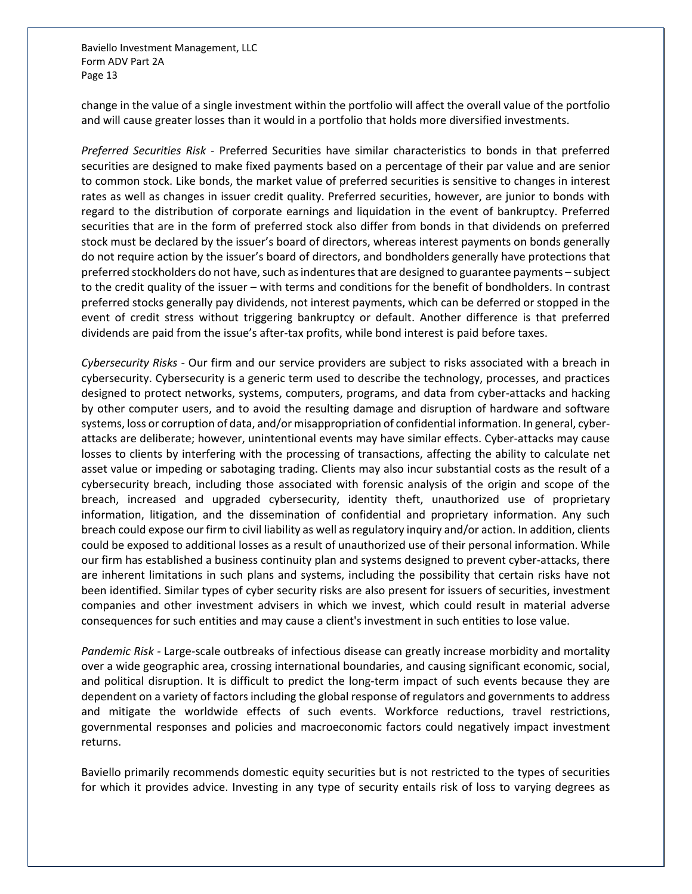change in the value of a single investment within the portfolio will affect the overall value of the portfolio and will cause greater losses than it would in a portfolio that holds more diversified investments.

*Preferred Securities Risk -* Preferred Securities have similar characteristics to bonds in that preferred securities are designed to make fixed payments based on a percentage of their par value and are senior to common stock. Like bonds, the market value of preferred securities is sensitive to changes in interest rates as well as changes in issuer credit quality. Preferred securities, however, are junior to bonds with regard to the distribution of corporate earnings and liquidation in the event of bankruptcy. Preferred securities that are in the form of preferred stock also differ from bonds in that dividends on preferred stock must be declared by the issuer's board of directors, whereas interest payments on bonds generally do not require action by the issuer's board of directors, and bondholders generally have protections that preferred stockholders do not have, such as indentures that are designed to guarantee payments – subject to the credit quality of the issuer – with terms and conditions for the benefit of bondholders. In contrast preferred stocks generally pay dividends, not interest payments, which can be deferred or stopped in the event of credit stress without triggering bankruptcy or default. Another difference is that preferred dividends are paid from the issue's after-tax profits, while bond interest is paid before taxes.

*Cybersecurity Risks -* Our firm and our service providers are subject to risks associated with a breach in cybersecurity. Cybersecurity is a generic term used to describe the technology, processes, and practices designed to protect networks, systems, computers, programs, and data from cyber-attacks and hacking by other computer users, and to avoid the resulting damage and disruption of hardware and software systems, loss or corruption of data, and/or misappropriation of confidential information. In general, cyberattacks are deliberate; however, unintentional events may have similar effects. Cyber-attacks may cause losses to clients by interfering with the processing of transactions, affecting the ability to calculate net asset value or impeding or sabotaging trading. Clients may also incur substantial costs as the result of a cybersecurity breach, including those associated with forensic analysis of the origin and scope of the breach, increased and upgraded cybersecurity, identity theft, unauthorized use of proprietary information, litigation, and the dissemination of confidential and proprietary information. Any such breach could expose our firm to civil liability as well as regulatory inquiry and/or action. In addition, clients could be exposed to additional losses as a result of unauthorized use of their personal information. While our firm has established a business continuity plan and systems designed to prevent cyber-attacks, there are inherent limitations in such plans and systems, including the possibility that certain risks have not been identified. Similar types of cyber security risks are also present for issuers of securities, investment companies and other investment advisers in which we invest, which could result in material adverse consequences for such entities and may cause a client's investment in such entities to lose value.

*Pandemic Risk -* Large-scale outbreaks of infectious disease can greatly increase morbidity and mortality over a wide geographic area, crossing international boundaries, and causing significant economic, social, and political disruption. It is difficult to predict the long-term impact of such events because they are dependent on a variety of factors including the global response of regulators and governments to address and mitigate the worldwide effects of such events. Workforce reductions, travel restrictions, governmental responses and policies and macroeconomic factors could negatively impact investment returns.

Baviello primarily recommends domestic equity securities but is not restricted to the types of securities for which it provides advice. Investing in any type of security entails risk of loss to varying degrees as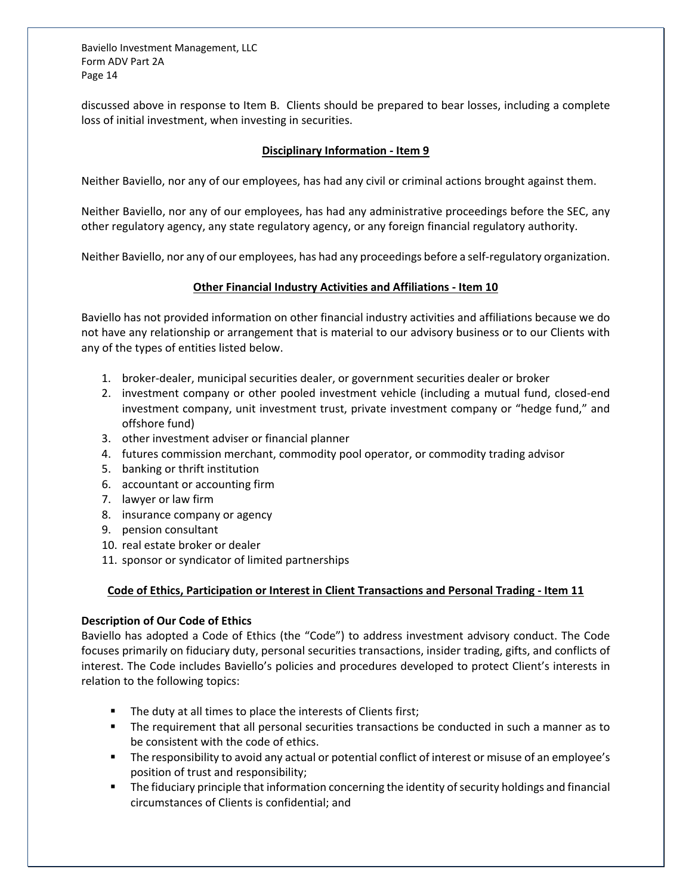discussed above in response to Item B. Clients should be prepared to bear losses, including a complete loss of initial investment, when investing in securities.

## **Disciplinary Information - Item 9**

<span id="page-13-0"></span>Neither Baviello, nor any of our employees, has had any civil or criminal actions brought against them.

Neither Baviello, nor any of our employees, has had any administrative proceedings before the SEC, any other regulatory agency, any state regulatory agency, or any foreign financial regulatory authority.

<span id="page-13-1"></span>Neither Baviello, nor any of our employees, has had any proceedings before a self-regulatory organization.

## **Other Financial Industry Activities and Affiliations - Item 10**

Baviello has not provided information on other financial industry activities and affiliations because we do not have any relationship or arrangement that is material to our advisory business or to our Clients with any of the types of entities listed below.

- 1. broker-dealer, municipal securities dealer, or government securities dealer or broker
- 2. investment company or other pooled investment vehicle (including a mutual fund, closed-end investment company, unit investment trust, private investment company or "hedge fund," and offshore fund)
- 3. other investment adviser or financial planner
- 4. futures commission merchant, commodity pool operator, or commodity trading advisor
- 5. banking or thrift institution
- 6. accountant or accounting firm
- 7. lawyer or law firm
- 8. insurance company or agency
- 9. pension consultant
- 10. real estate broker or dealer
- 11. sponsor or syndicator of limited partnerships

## <span id="page-13-2"></span>**Code of Ethics, Participation or Interest in Client Transactions and Personal Trading - Item 11**

## **Description of Our Code of Ethics**

Baviello has adopted a Code of Ethics (the "Code") to address investment advisory conduct. The Code focuses primarily on fiduciary duty, personal securities transactions, insider trading, gifts, and conflicts of interest. The Code includes Baviello's policies and procedures developed to protect Client's interests in relation to the following topics:

- The duty at all times to place the interests of Clients first;
- The requirement that all personal securities transactions be conducted in such a manner as to be consistent with the code of ethics.
- The responsibility to avoid any actual or potential conflict of interest or misuse of an employee's position of trust and responsibility;
- **The fiduciary principle that information concerning the identity of security holdings and financial** circumstances of Clients is confidential; and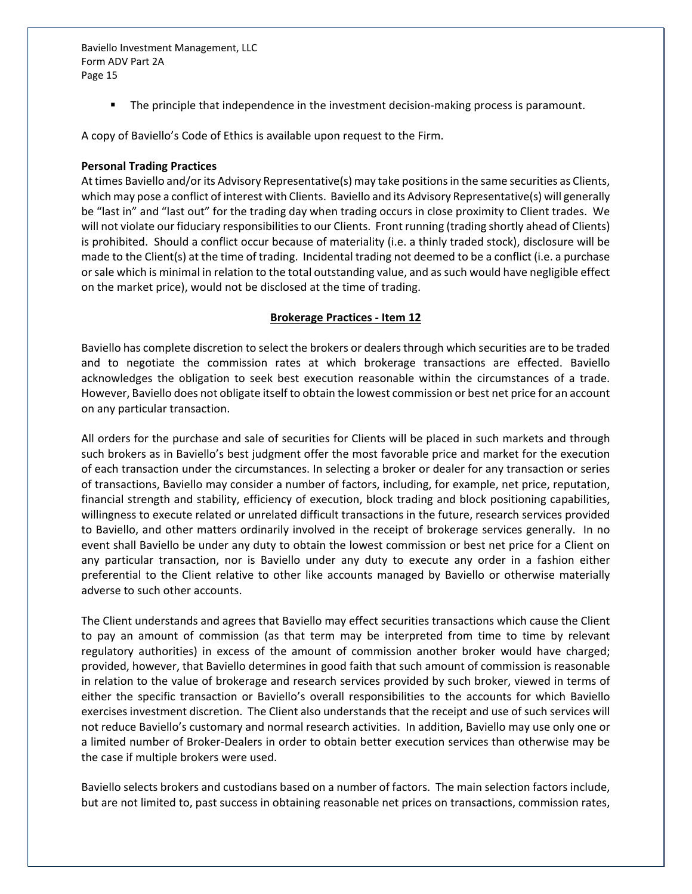**The principle that independence in the investment decision-making process is paramount.** 

A copy of Baviello's Code of Ethics is available upon request to the Firm.

#### **Personal Trading Practices**

At times Baviello and/or its Advisory Representative(s) may take positions in the same securities as Clients, which may pose a conflict of interest with Clients. Baviello and its Advisory Representative(s) will generally be "last in" and "last out" for the trading day when trading occurs in close proximity to Client trades. We will not violate our fiduciary responsibilities to our Clients. Front running (trading shortly ahead of Clients) is prohibited. Should a conflict occur because of materiality (i.e. a thinly traded stock), disclosure will be made to the Client(s) at the time of trading. Incidental trading not deemed to be a conflict (i.e. a purchase or sale which is minimal in relation to the total outstanding value, and as such would have negligible effect on the market price), would not be disclosed at the time of trading.

#### **Brokerage Practices - Item 12**

<span id="page-14-0"></span>Baviello has complete discretion to select the brokers or dealers through which securities are to be traded and to negotiate the commission rates at which brokerage transactions are effected. Baviello acknowledges the obligation to seek best execution reasonable within the circumstances of a trade. However, Baviello does not obligate itself to obtain the lowest commission or best net price for an account on any particular transaction.

All orders for the purchase and sale of securities for Clients will be placed in such markets and through such brokers as in Baviello's best judgment offer the most favorable price and market for the execution of each transaction under the circumstances. In selecting a broker or dealer for any transaction or series of transactions, Baviello may consider a number of factors, including, for example, net price, reputation, financial strength and stability, efficiency of execution, block trading and block positioning capabilities, willingness to execute related or unrelated difficult transactions in the future, research services provided to Baviello, and other matters ordinarily involved in the receipt of brokerage services generally. In no event shall Baviello be under any duty to obtain the lowest commission or best net price for a Client on any particular transaction, nor is Baviello under any duty to execute any order in a fashion either preferential to the Client relative to other like accounts managed by Baviello or otherwise materially adverse to such other accounts.

The Client understands and agrees that Baviello may effect securities transactions which cause the Client to pay an amount of commission (as that term may be interpreted from time to time by relevant regulatory authorities) in excess of the amount of commission another broker would have charged; provided, however, that Baviello determines in good faith that such amount of commission is reasonable in relation to the value of brokerage and research services provided by such broker, viewed in terms of either the specific transaction or Baviello's overall responsibilities to the accounts for which Baviello exercises investment discretion. The Client also understands that the receipt and use of such services will not reduce Baviello's customary and normal research activities. In addition, Baviello may use only one or a limited number of Broker-Dealers in order to obtain better execution services than otherwise may be the case if multiple brokers were used.

Baviello selects brokers and custodians based on a number of factors. The main selection factors include, but are not limited to, past success in obtaining reasonable net prices on transactions, commission rates,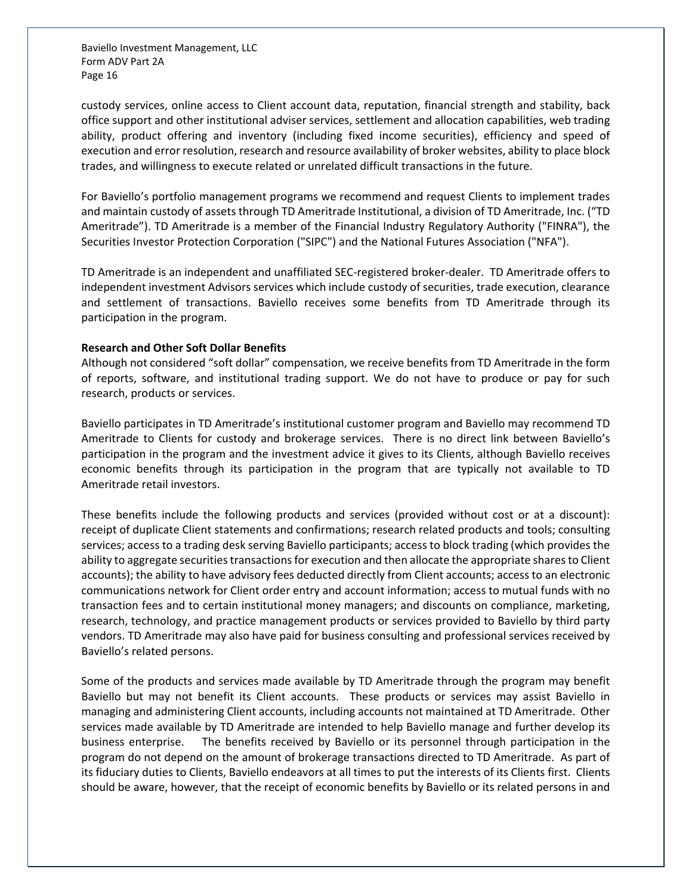custody services, online access to Client account data, reputation, financial strength and stability, back office support and other institutional adviser services, settlement and allocation capabilities, web trading ability, product offering and inventory (including fixed income securities), efficiency and speed of execution and error resolution, research and resource availability of broker websites, ability to place block trades, and willingness to execute related or unrelated difficult transactions in the future.

For Baviello's portfolio management programs we recommend and request Clients to implement trades and maintain custody of assets through TD Ameritrade Institutional, a division of TD Ameritrade, Inc. ("TD Ameritrade"). TD Ameritrade is a member of the Financial Industry Regulatory Authority ("FINRA"), the Securities Investor Protection Corporation ("SIPC") and the National Futures Association ("NFA").

TD Ameritrade is an independent and unaffiliated SEC-registered broker-dealer. TD Ameritrade offers to independent investment Advisors services which include custody of securities, trade execution, clearance and settlement of transactions. Baviello receives some benefits from TD Ameritrade through its participation in the program.

#### **Research and Other Soft Dollar Benefits**

Although not considered "soft dollar" compensation, we receive benefits from TD Ameritrade in the form of reports, software, and institutional trading support. We do not have to produce or pay for such research, products or services.

Baviello participates in TD Ameritrade's institutional customer program and Baviello may recommend TD Ameritrade to Clients for custody and brokerage services. There is no direct link between Baviello's participation in the program and the investment advice it gives to its Clients, although Baviello receives economic benefits through its participation in the program that are typically not available to TD Ameritrade retail investors.

These benefits include the following products and services (provided without cost or at a discount): receipt of duplicate Client statements and confirmations; research related products and tools; consulting services; access to a trading desk serving Baviello participants; access to block trading (which provides the ability to aggregate securities transactions for execution and then allocate the appropriate shares to Client accounts); the ability to have advisory fees deducted directly from Client accounts; access to an electronic communications network for Client order entry and account information; access to mutual funds with no transaction fees and to certain institutional money managers; and discounts on compliance, marketing, research, technology, and practice management products or services provided to Baviello by third party vendors. TD Ameritrade may also have paid for business consulting and professional services received by Baviello's related persons.

Some of the products and services made available by TD Ameritrade through the program may benefit Baviello but may not benefit its Client accounts. These products or services may assist Baviello in managing and administering Client accounts, including accounts not maintained at TD Ameritrade. Other services made available by TD Ameritrade are intended to help Baviello manage and further develop its business enterprise. The benefits received by Baviello or its personnel through participation in the program do not depend on the amount of brokerage transactions directed to TD Ameritrade. As part of its fiduciary duties to Clients, Baviello endeavors at all times to put the interests of its Clients first. Clients should be aware, however, that the receipt of economic benefits by Baviello or its related persons in and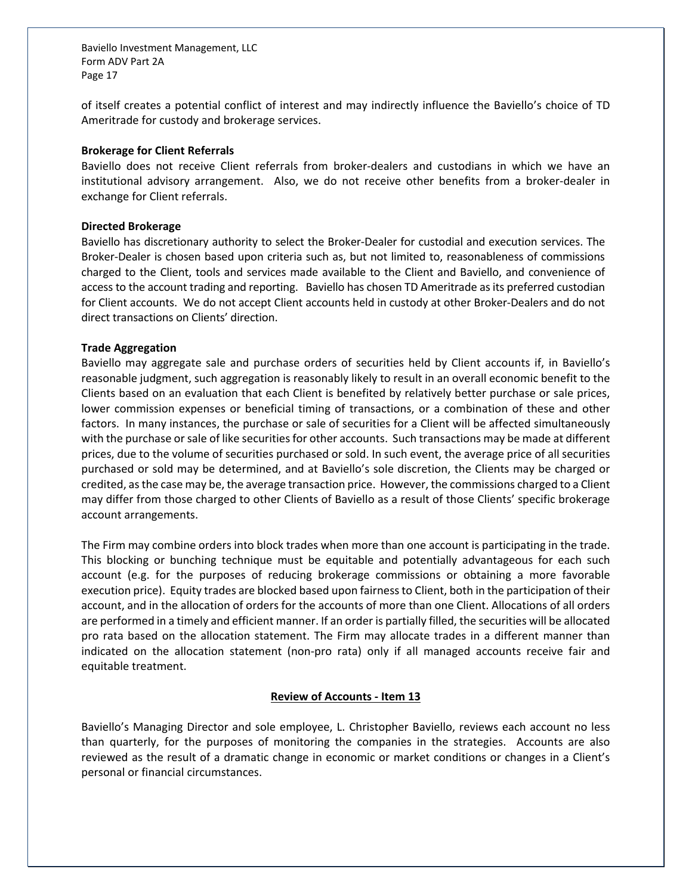of itself creates a potential conflict of interest and may indirectly influence the Baviello's choice of TD Ameritrade for custody and brokerage services.

#### **Brokerage for Client Referrals**

Baviello does not receive Client referrals from broker-dealers and custodians in which we have an institutional advisory arrangement. Also, we do not receive other benefits from a broker-dealer in exchange for Client referrals.

#### **Directed Brokerage**

Baviello has discretionary authority to select the Broker-Dealer for custodial and execution services. The Broker-Dealer is chosen based upon criteria such as, but not limited to, reasonableness of commissions charged to the Client, tools and services made available to the Client and Baviello, and convenience of access to the account trading and reporting. Baviello has chosen TD Ameritrade as its preferred custodian for Client accounts. We do not accept Client accounts held in custody at other Broker-Dealers and do not direct transactions on Clients' direction.

#### **Trade Aggregation**

Baviello may aggregate sale and purchase orders of securities held by Client accounts if, in Baviello's reasonable judgment, such aggregation is reasonably likely to result in an overall economic benefit to the Clients based on an evaluation that each Client is benefited by relatively better purchase or sale prices, lower commission expenses or beneficial timing of transactions, or a combination of these and other factors. In many instances, the purchase or sale of securities for a Client will be affected simultaneously with the purchase or sale of like securities for other accounts. Such transactions may be made at different prices, due to the volume of securities purchased or sold. In such event, the average price of all securities purchased or sold may be determined, and at Baviello's sole discretion, the Clients may be charged or credited, as the case may be, the average transaction price. However, the commissions charged to a Client may differ from those charged to other Clients of Baviello as a result of those Clients' specific brokerage account arrangements.

The Firm may combine orders into block trades when more than one account is participating in the trade. This blocking or bunching technique must be equitable and potentially advantageous for each such account (e.g. for the purposes of reducing brokerage commissions or obtaining a more favorable execution price). Equity trades are blocked based upon fairness to Client, both in the participation of their account, and in the allocation of orders for the accounts of more than one Client. Allocations of all orders are performed in a timely and efficient manner. If an order is partially filled, the securities will be allocated pro rata based on the allocation statement. The Firm may allocate trades in a different manner than indicated on the allocation statement (non-pro rata) only if all managed accounts receive fair and equitable treatment.

#### **Review of Accounts - Item 13**

<span id="page-16-0"></span>Baviello's Managing Director and sole employee, L. Christopher Baviello, reviews each account no less than quarterly, for the purposes of monitoring the companies in the strategies. Accounts are also reviewed as the result of a dramatic change in economic or market conditions or changes in a Client's personal or financial circumstances.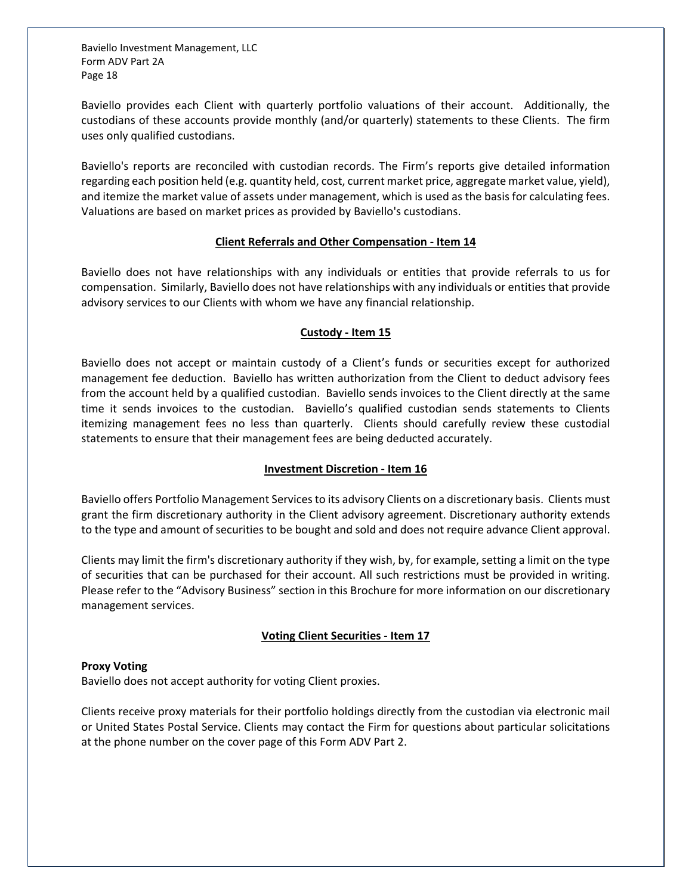Baviello provides each Client with quarterly portfolio valuations of their account. Additionally, the custodians of these accounts provide monthly (and/or quarterly) statements to these Clients. The firm uses only qualified custodians.

Baviello's reports are reconciled with custodian records. The Firm's reports give detailed information regarding each position held (e.g. quantity held, cost, current market price, aggregate market value, yield), and itemize the market value of assets under management, which is used as the basis for calculating fees. Valuations are based on market prices as provided by Baviello's custodians.

#### **Client Referrals and Other Compensation - Item 14**

<span id="page-17-0"></span>Baviello does not have relationships with any individuals or entities that provide referrals to us for compensation. Similarly, Baviello does not have relationships with any individuals or entities that provide advisory services to our Clients with whom we have any financial relationship.

#### **Custody - Item 15**

<span id="page-17-1"></span>Baviello does not accept or maintain custody of a Client's funds or securities except for authorized management fee deduction. Baviello has written authorization from the Client to deduct advisory fees from the account held by a qualified custodian. Baviello sends invoices to the Client directly at the same time it sends invoices to the custodian. Baviello's qualified custodian sends statements to Clients itemizing management fees no less than quarterly. Clients should carefully review these custodial statements to ensure that their management fees are being deducted accurately.

## **Investment Discretion - Item 16**

<span id="page-17-2"></span>Baviello offers Portfolio Management Services to its advisory Clients on a discretionary basis. Clients must grant the firm discretionary authority in the Client advisory agreement. Discretionary authority extends to the type and amount of securities to be bought and sold and does not require advance Client approval.

Clients may limit the firm's discretionary authority if they wish, by, for example, setting a limit on the type of securities that can be purchased for their account. All such restrictions must be provided in writing. Please refer to the "Advisory Business" section in this Brochure for more information on our discretionary management services.

## **Voting Client Securities - Item 17**

#### <span id="page-17-3"></span>**Proxy Voting**

Baviello does not accept authority for voting Client proxies.

Clients receive proxy materials for their portfolio holdings directly from the custodian via electronic mail or United States Postal Service. Clients may contact the Firm for questions about particular solicitations at the phone number on the cover page of this Form ADV Part 2.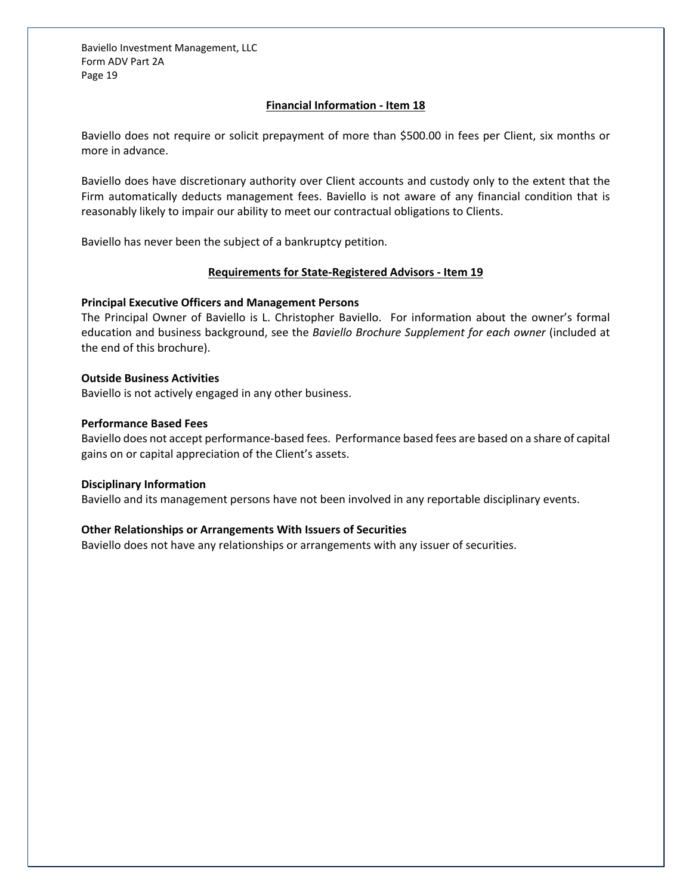## **Financial Information - Item 18**

<span id="page-18-0"></span>Baviello does not require or solicit prepayment of more than \$500.00 in fees per Client, six months or more in advance.

Baviello does have discretionary authority over Client accounts and custody only to the extent that the Firm automatically deducts management fees. Baviello is not aware of any financial condition that is reasonably likely to impair our ability to meet our contractual obligations to Clients.

<span id="page-18-1"></span>Baviello has never been the subject of a bankruptcy petition.

#### **Requirements for State-Registered Advisors - Item 19**

#### **Principal Executive Officers and Management Persons**

The Principal Owner of Baviello is L. Christopher Baviello. For information about the owner's formal education and business background, see the *Baviello Brochure Supplement for each owner* (included at the end of this brochure).

#### **Outside Business Activities**

Baviello is not actively engaged in any other business.

#### **Performance Based Fees**

Baviello does not accept performance-based fees. Performance based fees are based on a share of capital gains on or capital appreciation of the Client's assets.

#### **Disciplinary Information**

Baviello and its management persons have not been involved in any reportable disciplinary events.

## **Other Relationships or Arrangements With Issuers of Securities**

Baviello does not have any relationships or arrangements with any issuer of securities.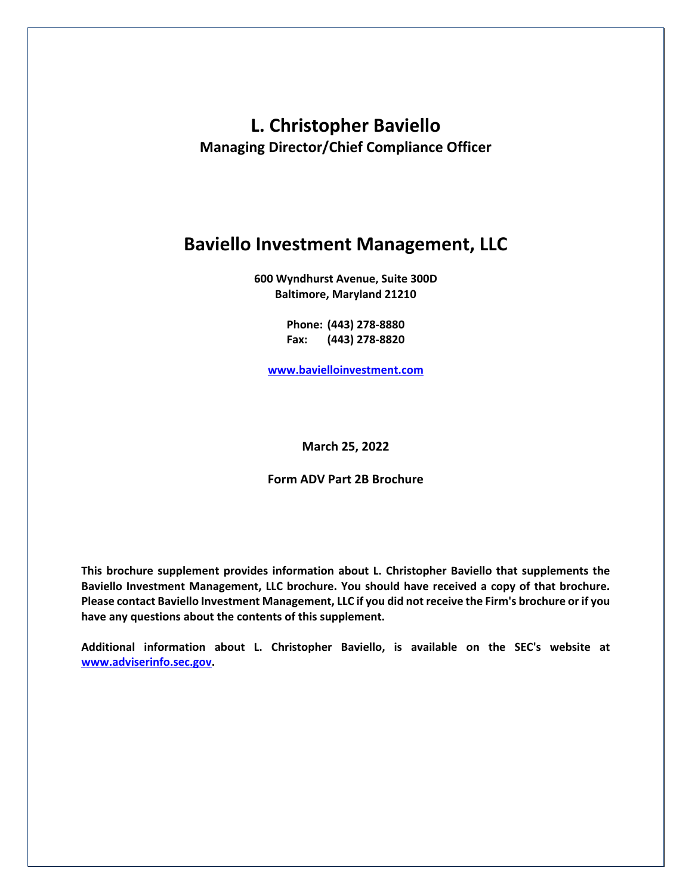# **L. Christopher Baviello Managing Director/Chief Compliance Officer**

## **Baviello Investment Management, LLC**

**600 Wyndhurst Avenue, Suite 300D Baltimore, Maryland 21210**

> **Phone: (443) 278-8880 Fax: (443) 278-8820**

**[www.bavielloinvestment.com](http://www.bavielloinvestment.com/)**

## **March 25, 2022**

## **Form ADV Part 2B Brochure**

**This brochure supplement provides information about L. Christopher Baviello that supplements the Baviello Investment Management, LLC brochure. You should have received a copy of that brochure. Please contact Baviello Investment Management, LLC if you did not receive the Firm's brochure or if you have any questions about the contents of this supplement.**

**Additional information about L. Christopher Baviello, is available on the SEC's website at www.adviserinfo.sec.gov.**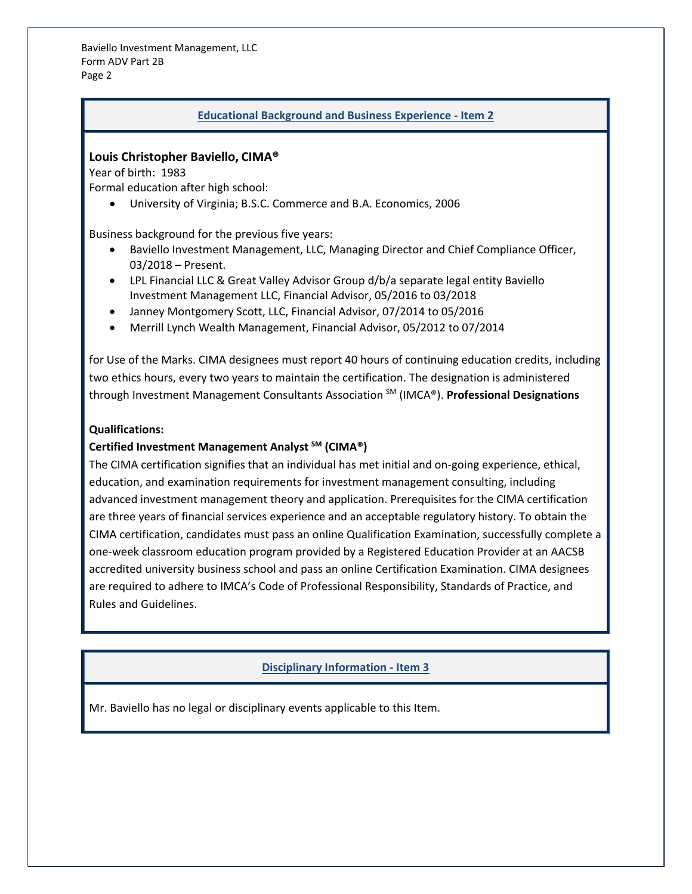## **Educational Background and Business Experience - Item 2**

## **Louis Christopher Baviello, CIMA®**

Year of birth: 1983

Formal education after high school:

• University of Virginia; B.S.C. Commerce and B.A. Economics, 2006

Business background for the previous five years:

- Baviello Investment Management, LLC, Managing Director and Chief Compliance Officer, 03/2018 – Present.
- LPL Financial LLC & Great Valley Advisor Group d/b/a separate legal entity Baviello Investment Management LLC, Financial Advisor, 05/2016 to 03/2018
- Janney Montgomery Scott, LLC, Financial Advisor, 07/2014 to 05/2016
- Merrill Lynch Wealth Management, Financial Advisor, 05/2012 to 07/2014

for Use of the Marks. CIMA designees must report 40 hours of continuing education credits, including two ethics hours, every two years to maintain the certification. The designation is administered through Investment Management Consultants Association SM (IMCA®). **Professional Designations** 

## **Qualifications:**

## **Certified Investment Management Analyst SM (CIMA®)**

The CIMA certification signifies that an individual has met initial and on-going experience, ethical, education, and examination requirements for investment management consulting, including advanced investment management theory and application. Prerequisites for the CIMA certification are three years of financial services experience and an acceptable regulatory history. To obtain the CIMA certification, candidates must pass an online Qualification Examination, successfully complete a one-week classroom education program provided by a Registered Education Provider at an AACSB accredited university business school and pass an online Certification Examination. CIMA designees are required to adhere to IMCA's Code of Professional Responsibility, Standards of Practice, and Rules and Guidelines.

## **Disciplinary Information - Item 3**

Mr. Baviello has no legal or disciplinary events applicable to this Item.